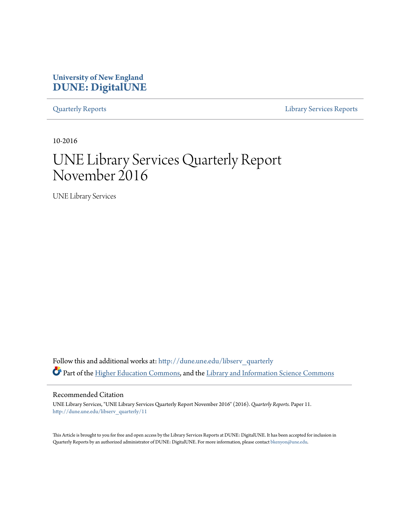## **University of New England [DUNE: DigitalUNE](http://dune.une.edu?utm_source=dune.une.edu%2Flibserv_quarterly%2F11&utm_medium=PDF&utm_campaign=PDFCoverPages)**

[Quarterly Reports](http://dune.une.edu/libserv_quarterly?utm_source=dune.une.edu%2Flibserv_quarterly%2F11&utm_medium=PDF&utm_campaign=PDFCoverPages) [Library Services Reports](http://dune.une.edu/libserv_reports?utm_source=dune.une.edu%2Flibserv_quarterly%2F11&utm_medium=PDF&utm_campaign=PDFCoverPages)

10-2016

# UNE Library Services Quarterly Report November 2016

UNE Library Services

Follow this and additional works at: [http://dune.une.edu/libserv\\_quarterly](http://dune.une.edu/libserv_quarterly?utm_source=dune.une.edu%2Flibserv_quarterly%2F11&utm_medium=PDF&utm_campaign=PDFCoverPages) Part of the [Higher Education Commons](http://network.bepress.com/hgg/discipline/1245?utm_source=dune.une.edu%2Flibserv_quarterly%2F11&utm_medium=PDF&utm_campaign=PDFCoverPages), and the [Library and Information Science Commons](http://network.bepress.com/hgg/discipline/1018?utm_source=dune.une.edu%2Flibserv_quarterly%2F11&utm_medium=PDF&utm_campaign=PDFCoverPages)

Recommended Citation

UNE Library Services, "UNE Library Services Quarterly Report November 2016" (2016). *Quarterly Reports.* Paper 11. [http://dune.une.edu/libserv\\_quarterly/11](http://dune.une.edu/libserv_quarterly/11?utm_source=dune.une.edu%2Flibserv_quarterly%2F11&utm_medium=PDF&utm_campaign=PDFCoverPages)

This Article is brought to you for free and open access by the Library Services Reports at DUNE: DigitalUNE. It has been accepted for inclusion in Quarterly Reports by an authorized administrator of DUNE: DigitalUNE. For more information, please contact [bkenyon@une.edu.](mailto:bkenyon@une.edu)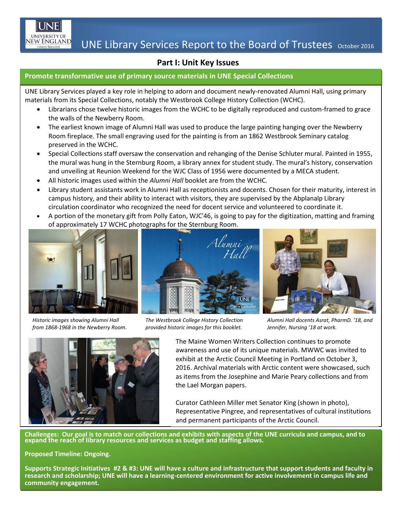

### **Part I: Unit Key Issues**

#### **Promote transformative use of primary source materials in UNE Special Collections**

UNE Library Services played a key role in helping to adorn and document newly-renovated Alumni Hall, using primary materials from its Special Collections, notably the Westbrook College History Collection (WCHC).

- Librarians chose twelve historic images from the WCHC to be digitally reproduced and custom-framed to grace the walls of the Newberry Room.
- The earliest known image of Alumni Hall was used to produce the large painting hanging over the Newberry Room fireplace. The small engraving used for the painting is from an 1862 Westbrook Seminary catalog preserved in the WCHC.
- Special Collections staff oversaw the conservation and rehanging of the Denise Schluter mural. Painted in 1955, the mural was hung in the Sternburg Room, a library annex for student study. The mural's history, conservation and unveiling at Reunion Weekend for the WJC Class of 1956 were documented by a MECA student.
- All historic images used within the *Alumni Hall* booklet are from the WCHC.
- Library student assistants work in Alumni Hall as receptionists and docents. Chosen for their maturity, interest in campus history, and their ability to interact with visitors, they are supervised by the Abplanalp Library circulation coordinator who recognized the need for docent service and volunteered to coordinate it.
- A portion of the monetary gift from Polly Eaton, WJC'46, is going to pay for the digitization, matting and framing of approximately 17 WCHC photographs for the Sternburg Room.



*Historic images showing Alumni Hall from 1868-1968 in the Newberry Room.*



*The Westbrook College History Collection provided historic images for this booklet.*



*Alumni Hall docents Asrat, PharmD. '18, and Jennifer, Nursing '18 at work.*



The Maine Women Writers Collection continues to promote awareness and use of its unique materials. MWWC was invited to exhibit at the Arctic Council Meeting in Portland on October 3, 2016. Archival materials with Arctic content were showcased, such as items from the Josephine and Marie Peary collections and from the Lael Morgan papers.

Curator Cathleen Miller met Senator King (shown in photo), Representative Pingree, and representatives of cultural institutions and permanent participants of the Arctic Council.

**Challenges: Our goal is to match our collections and exhibits with aspects of the UNE curricula and campus, and to expand the reach of library resources and services as budget and staffing allows.**

**Proposed Timeline: Ongoing.**

**Supports Strategic Initiatives #2 & #3: UNE will have a culture and infrastructure that support students and faculty in research and scholarship; UNE will have a learning-centered environment for active involvement in campus life and community engagement.**